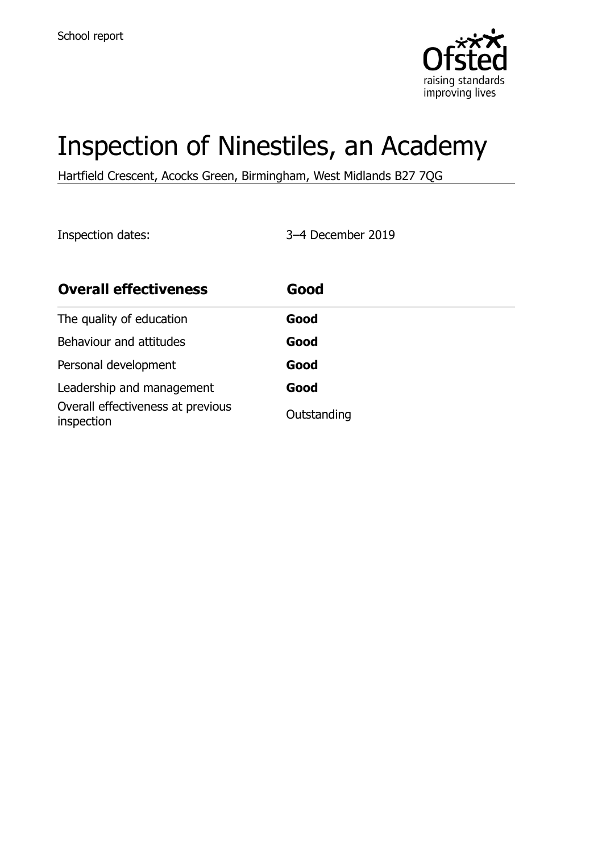

# Inspection of Ninestiles, an Academy

Hartfield Crescent, Acocks Green, Birmingham, West Midlands B27 7QG

Inspection dates: 3–4 December 2019

| <b>Overall effectiveness</b>                    | Good        |
|-------------------------------------------------|-------------|
| The quality of education                        | Good        |
| Behaviour and attitudes                         | Good        |
| Personal development                            | Good        |
| Leadership and management                       | Good        |
| Overall effectiveness at previous<br>inspection | Outstanding |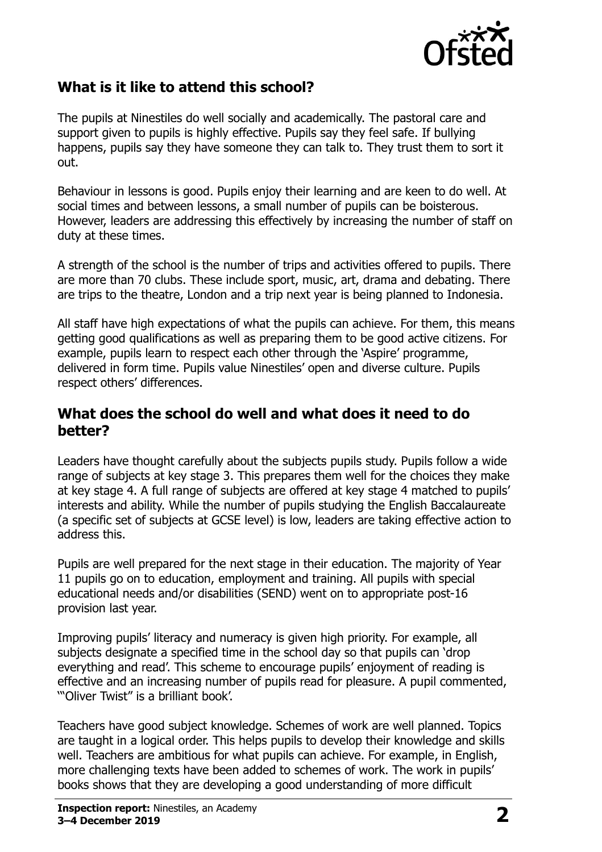

## **What is it like to attend this school?**

The pupils at Ninestiles do well socially and academically. The pastoral care and support given to pupils is highly effective. Pupils say they feel safe. If bullying happens, pupils say they have someone they can talk to. They trust them to sort it out.

Behaviour in lessons is good. Pupils enjoy their learning and are keen to do well. At social times and between lessons, a small number of pupils can be boisterous. However, leaders are addressing this effectively by increasing the number of staff on duty at these times.

A strength of the school is the number of trips and activities offered to pupils. There are more than 70 clubs. These include sport, music, art, drama and debating. There are trips to the theatre, London and a trip next year is being planned to Indonesia.

All staff have high expectations of what the pupils can achieve. For them, this means getting good qualifications as well as preparing them to be good active citizens. For example, pupils learn to respect each other through the 'Aspire' programme, delivered in form time. Pupils value Ninestiles" open and diverse culture. Pupils respect others' differences.

#### **What does the school do well and what does it need to do better?**

Leaders have thought carefully about the subjects pupils study. Pupils follow a wide range of subjects at key stage 3. This prepares them well for the choices they make at key stage 4. A full range of subjects are offered at key stage 4 matched to pupils' interests and ability. While the number of pupils studying the English Baccalaureate (a specific set of subjects at GCSE level) is low, leaders are taking effective action to address this.

Pupils are well prepared for the next stage in their education. The majority of Year 11 pupils go on to education, employment and training. All pupils with special educational needs and/or disabilities (SEND) went on to appropriate post-16 provision last year.

Improving pupils" literacy and numeracy is given high priority. For example, all subjects designate a specified time in the school day so that pupils can "drop everything and read'. This scheme to encourage pupils' enjoyment of reading is effective and an increasing number of pupils read for pleasure. A pupil commented, ""Oliver Twist" is a brilliant book".

Teachers have good subject knowledge. Schemes of work are well planned. Topics are taught in a logical order. This helps pupils to develop their knowledge and skills well. Teachers are ambitious for what pupils can achieve. For example, in English, more challenging texts have been added to schemes of work. The work in pupils" books shows that they are developing a good understanding of more difficult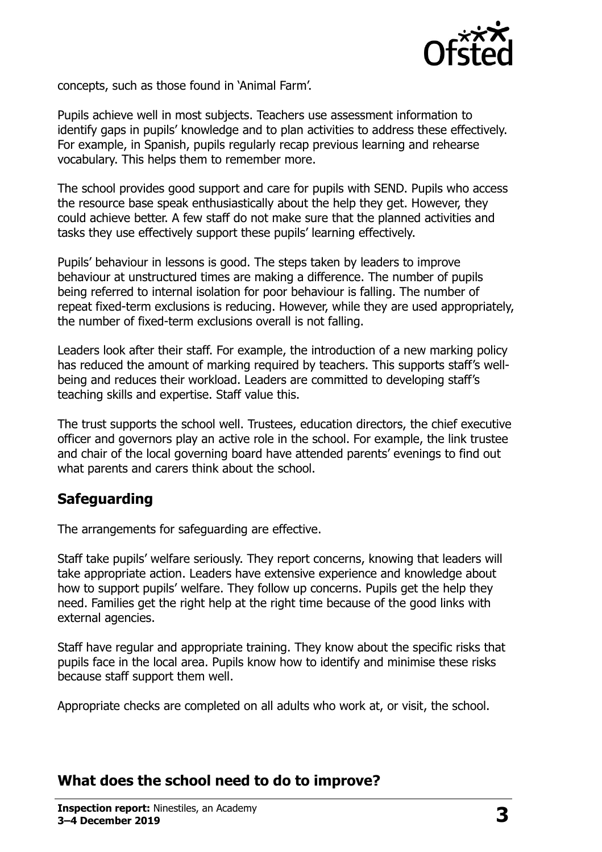

concepts, such as those found in "Animal Farm".

Pupils achieve well in most subjects. Teachers use assessment information to identify gaps in pupils" knowledge and to plan activities to address these effectively. For example, in Spanish, pupils regularly recap previous learning and rehearse vocabulary. This helps them to remember more.

The school provides good support and care for pupils with SEND. Pupils who access the resource base speak enthusiastically about the help they get. However, they could achieve better. A few staff do not make sure that the planned activities and tasks they use effectively support these pupils' learning effectively.

Pupils" behaviour in lessons is good. The steps taken by leaders to improve behaviour at unstructured times are making a difference. The number of pupils being referred to internal isolation for poor behaviour is falling. The number of repeat fixed-term exclusions is reducing. However, while they are used appropriately, the number of fixed-term exclusions overall is not falling.

Leaders look after their staff. For example, the introduction of a new marking policy has reduced the amount of marking required by teachers. This supports staff's wellbeing and reduces their workload. Leaders are committed to developing staff"s teaching skills and expertise. Staff value this.

The trust supports the school well. Trustees, education directors, the chief executive officer and governors play an active role in the school. For example, the link trustee and chair of the local governing board have attended parents' evenings to find out what parents and carers think about the school.

#### **Safeguarding**

The arrangements for safeguarding are effective.

Staff take pupils" welfare seriously. They report concerns, knowing that leaders will take appropriate action. Leaders have extensive experience and knowledge about how to support pupils" welfare. They follow up concerns. Pupils get the help they need. Families get the right help at the right time because of the good links with external agencies.

Staff have regular and appropriate training. They know about the specific risks that pupils face in the local area. Pupils know how to identify and minimise these risks because staff support them well.

Appropriate checks are completed on all adults who work at, or visit, the school.

#### **What does the school need to do to improve?**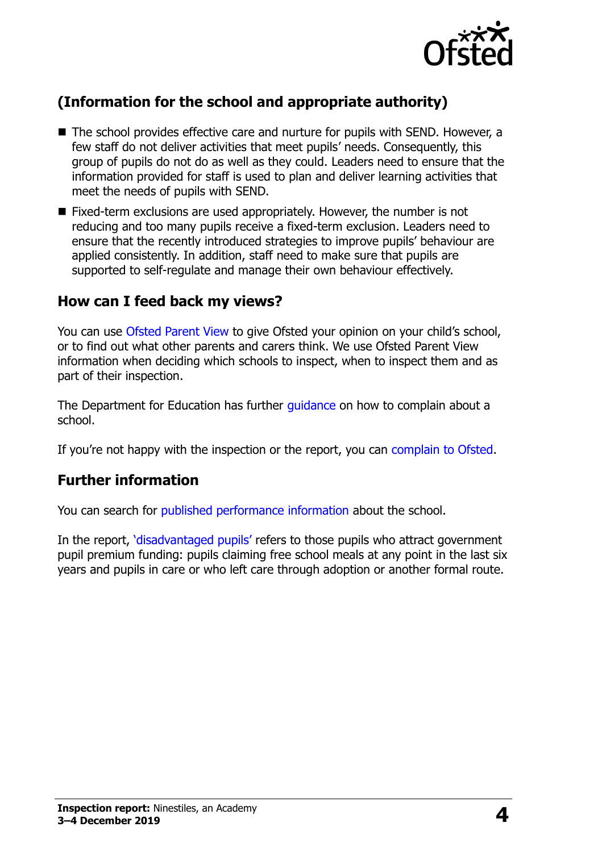

# **(Information for the school and appropriate authority)**

- The school provides effective care and nurture for pupils with SEND. However, a few staff do not deliver activities that meet pupils' needs. Consequently, this group of pupils do not do as well as they could. Leaders need to ensure that the information provided for staff is used to plan and deliver learning activities that meet the needs of pupils with SEND.
- Fixed-term exclusions are used appropriately. However, the number is not reducing and too many pupils receive a fixed-term exclusion. Leaders need to ensure that the recently introduced strategies to improve pupils" behaviour are applied consistently. In addition, staff need to make sure that pupils are supported to self-regulate and manage their own behaviour effectively.

# **How can I feed back my views?**

You can use [Ofsted Parent View](http://parentview.ofsted.gov.uk/) to give Ofsted your opinion on your child's school, or to find out what other parents and carers think. We use Ofsted Parent View information when deciding which schools to inspect, when to inspect them and as part of their inspection.

The Department for Education has further quidance on how to complain about a school.

If you're not happy with the inspection or the report, you can [complain to Ofsted.](http://www.gov.uk/complain-ofsted-report)

#### **Further information**

You can search for [published performance information](http://www.compare-school-performance.service.gov.uk/) about the school.

In the report, '[disadvantaged pupils](http://www.gov.uk/guidance/pupil-premium-information-for-schools-and-alternative-provision-settings)' refers to those pupils who attract government pupil premium funding: pupils claiming free school meals at any point in the last six years and pupils in care or who left care through adoption or another formal route.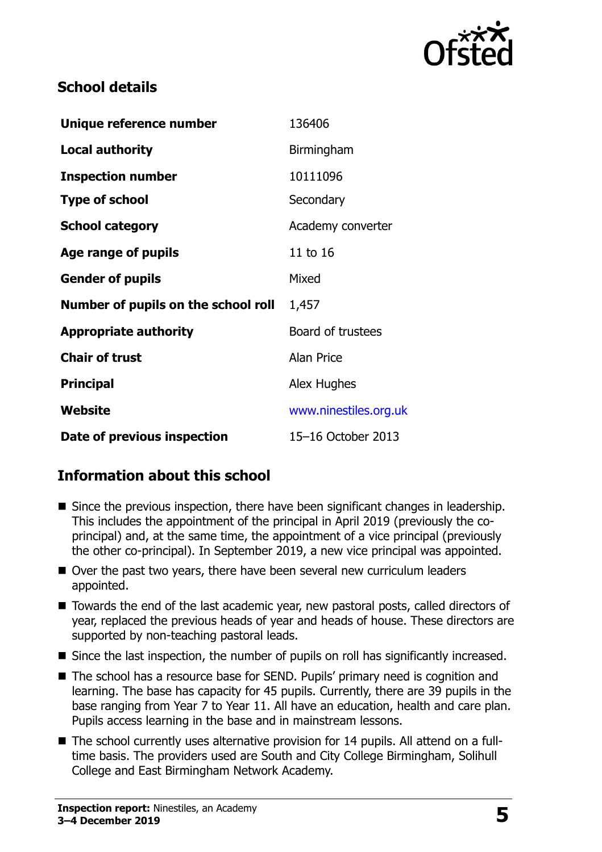

# **School details**

| Unique reference number             | 136406                |
|-------------------------------------|-----------------------|
| <b>Local authority</b>              | Birmingham            |
| <b>Inspection number</b>            | 10111096              |
| <b>Type of school</b>               | Secondary             |
| <b>School category</b>              | Academy converter     |
| Age range of pupils                 | 11 to 16              |
| <b>Gender of pupils</b>             | Mixed                 |
| Number of pupils on the school roll | 1,457                 |
| <b>Appropriate authority</b>        | Board of trustees     |
| <b>Chair of trust</b>               | <b>Alan Price</b>     |
| <b>Principal</b>                    | Alex Hughes           |
| Website                             | www.ninestiles.org.uk |
| Date of previous inspection         | 15-16 October 2013    |

# **Information about this school**

- Since the previous inspection, there have been significant changes in leadership. This includes the appointment of the principal in April 2019 (previously the coprincipal) and, at the same time, the appointment of a vice principal (previously the other co-principal). In September 2019, a new vice principal was appointed.
- Over the past two years, there have been several new curriculum leaders appointed.
- Towards the end of the last academic year, new pastoral posts, called directors of year, replaced the previous heads of year and heads of house. These directors are supported by non-teaching pastoral leads.
- Since the last inspection, the number of pupils on roll has significantly increased.
- The school has a resource base for SEND. Pupils' primary need is cognition and learning. The base has capacity for 45 pupils. Currently, there are 39 pupils in the base ranging from Year 7 to Year 11. All have an education, health and care plan. Pupils access learning in the base and in mainstream lessons.
- The school currently uses alternative provision for 14 pupils. All attend on a fulltime basis. The providers used are South and City College Birmingham, Solihull College and East Birmingham Network Academy.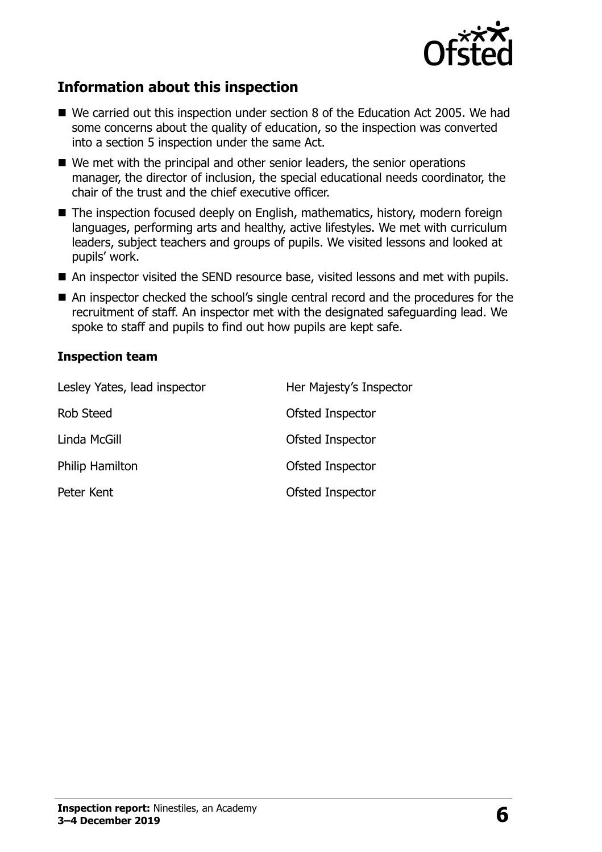

# **Information about this inspection**

- We carried out this inspection under section 8 of the Education Act 2005. We had some concerns about the quality of education, so the inspection was converted into a section 5 inspection under the same Act.
- We met with the principal and other senior leaders, the senior operations manager, the director of inclusion, the special educational needs coordinator, the chair of the trust and the chief executive officer.
- The inspection focused deeply on English, mathematics, history, modern foreign languages, performing arts and healthy, active lifestyles. We met with curriculum leaders, subject teachers and groups of pupils. We visited lessons and looked at pupils' work.
- An inspector visited the SEND resource base, visited lessons and met with pupils.
- An inspector checked the school's single central record and the procedures for the recruitment of staff. An inspector met with the designated safeguarding lead. We spoke to staff and pupils to find out how pupils are kept safe.

#### **Inspection team**

| Lesley Yates, lead inspector | Her Majesty's Inspector |
|------------------------------|-------------------------|
| Rob Steed                    | Ofsted Inspector        |
| Linda McGill                 | Ofsted Inspector        |
| Philip Hamilton              | Ofsted Inspector        |
| Peter Kent                   | Ofsted Inspector        |